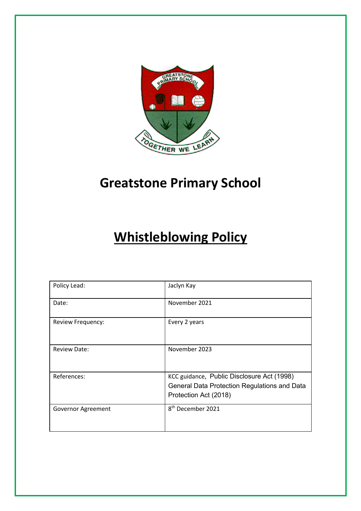

# **Greatstone Primary School**

# **Whistleblowing Policy**

| Policy Lead:        | Jaclyn Kay                                                                                                          |  |
|---------------------|---------------------------------------------------------------------------------------------------------------------|--|
| Date:               | November 2021                                                                                                       |  |
| Review Frequency:   | Every 2 years                                                                                                       |  |
| <b>Review Date:</b> | November 2023                                                                                                       |  |
| References:         | KCC guidance, Public Disclosure Act (1998)<br>General Data Protection Regulations and Data<br>Protection Act (2018) |  |
| Governor Agreement  | 8 <sup>th</sup> December 2021                                                                                       |  |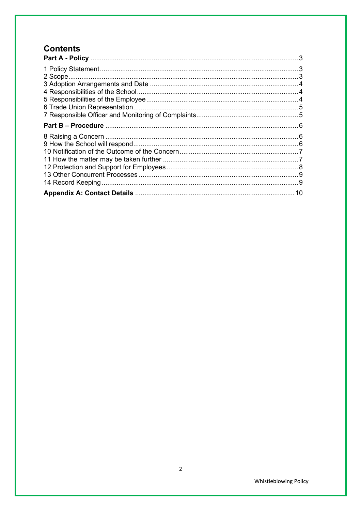# **Contents**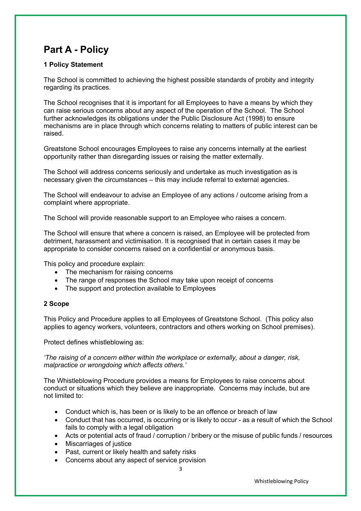# **Part A - Policy**

## **1 Policy Statement**

The School is committed to achieving the highest possible standards of probity and integrity regarding its practices.

The School recognises that it is important for all Employees to have a means by which they can raise serious concerns about any aspect of the operation of the School. The School further acknowledges its obligations under the Public Disclosure Act (1998) to ensure mechanisms are in place through which concerns relating to matters of public interest can be raised.

Greatstone School encourages Employees to raise any concerns internally at the earliest opportunity rather than disregarding issues or raising the matter externally.

The School will address concerns seriously and undertake as much investigation as is necessary given the circumstances – this may include referral to external agencies.

The School will endeavour to advise an Employee of any actions / outcome arising from a complaint where appropriate.

The School will provide reasonable support to an Employee who raises a concern.

The School will ensure that where a concern is raised, an Employee will be protected from detriment, harassment and victimisation. It is recognised that in certain cases it may be appropriate to consider concerns raised on a confidential or anonymous basis.

This policy and procedure explain:

- The mechanism for raising concerns
- The range of responses the School may take upon receipt of concerns
- The support and protection available to Employees

#### **2 Scope**

This Policy and Procedure applies to all Employees of Greatstone School. (This policy also applies to agency workers, volunteers, contractors and others working on School premises).

Protect defines whistleblowing as:

*'The raising of a concern either within the workplace or externally, about a danger, risk, malpractice or wrongdoing which affects others.'*

The Whistleblowing Procedure provides a means for Employees to raise concerns about conduct or situations which they believe are inappropriate. Concerns may include, but are not limited to:

- Conduct which is, has been or is likely to be an offence or breach of law
- Conduct that has occurred, is occurring or is likely to occur as a result of which the School fails to comply with a legal obligation
- Acts or potential acts of fraud / corruption / bribery or the misuse of public funds / resources
- Miscarriages of justice
- Past, current or likely health and safety risks
- Concerns about any aspect of service provision

Whistleblowing Policy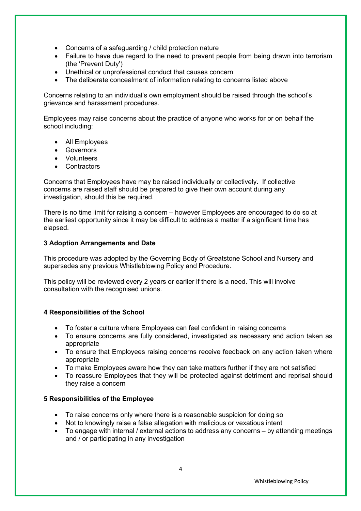- Concerns of a safeguarding / child protection nature
- Failure to have due regard to the need to prevent people from being drawn into terrorism (the 'Prevent Duty')
- Unethical or unprofessional conduct that causes concern
- The deliberate concealment of information relating to concerns listed above

Concerns relating to an individual's own employment should be raised through the school's grievance and harassment procedures.

Employees may raise concerns about the practice of anyone who works for or on behalf the school including:

- All Employees
- **Governors**
- Volunteers
- Contractors

Concerns that Employees have may be raised individually or collectively. If collective concerns are raised staff should be prepared to give their own account during any investigation, should this be required.

There is no time limit for raising a concern – however Employees are encouraged to do so at the earliest opportunity since it may be difficult to address a matter if a significant time has elapsed.

### **3 Adoption Arrangements and Date**

This procedure was adopted by the Governing Body of Greatstone School and Nursery and supersedes any previous Whistleblowing Policy and Procedure.

This policy will be reviewed every 2 years or earlier if there is a need. This will involve consultation with the recognised unions.

### **4 Responsibilities of the School**

- To foster a culture where Employees can feel confident in raising concerns
- To ensure concerns are fully considered, investigated as necessary and action taken as appropriate
- To ensure that Employees raising concerns receive feedback on any action taken where appropriate
- To make Employees aware how they can take matters further if they are not satisfied
- To reassure Employees that they will be protected against detriment and reprisal should they raise a concern

#### **5 Responsibilities of the Employee**

- To raise concerns only where there is a reasonable suspicion for doing so
- Not to knowingly raise a false allegation with malicious or vexatious intent
- To engage with internal / external actions to address any concerns by attending meetings and / or participating in any investigation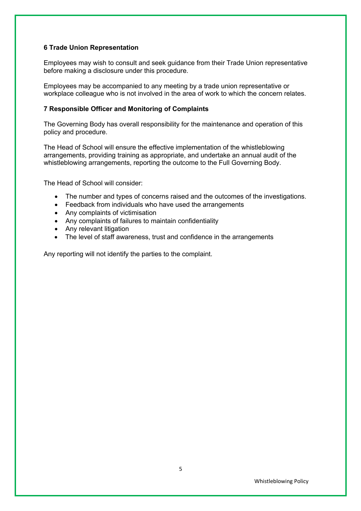#### **6 Trade Union Representation**

Employees may wish to consult and seek guidance from their Trade Union representative before making a disclosure under this procedure.

Employees may be accompanied to any meeting by a trade union representative or workplace colleague who is not involved in the area of work to which the concern relates.

#### **7 Responsible Officer and Monitoring of Complaints**

The Governing Body has overall responsibility for the maintenance and operation of this policy and procedure.

The Head of School will ensure the effective implementation of the whistleblowing arrangements, providing training as appropriate, and undertake an annual audit of the whistleblowing arrangements, reporting the outcome to the Full Governing Body.

The Head of School will consider:

- The number and types of concerns raised and the outcomes of the investigations.
- Feedback from individuals who have used the arrangements
- Any complaints of victimisation
- Any complaints of failures to maintain confidentiality
- Any relevant litigation
- The level of staff awareness, trust and confidence in the arrangements

Any reporting will not identify the parties to the complaint.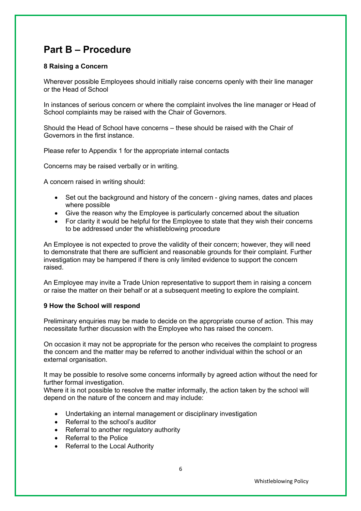# **Part B – Procedure**

#### **8 Raising a Concern**

Wherever possible Employees should initially raise concerns openly with their line manager or the Head of School

In instances of serious concern or where the complaint involves the line manager or Head of School complaints may be raised with the Chair of Governors.

Should the Head of School have concerns – these should be raised with the Chair of Governors in the first instance.

Please refer to Appendix 1 for the appropriate internal contacts

Concerns may be raised verbally or in writing.

A concern raised in writing should:

- Set out the background and history of the concern giving names, dates and places where possible
- Give the reason why the Employee is particularly concerned about the situation
- For clarity it would be helpful for the Employee to state that they wish their concerns to be addressed under the whistleblowing procedure

An Employee is not expected to prove the validity of their concern; however, they will need to demonstrate that there are sufficient and reasonable grounds for their complaint. Further investigation may be hampered if there is only limited evidence to support the concern raised.

An Employee may invite a Trade Union representative to support them in raising a concern or raise the matter on their behalf or at a subsequent meeting to explore the complaint.

#### **9 How the School will respond**

Preliminary enquiries may be made to decide on the appropriate course of action. This may necessitate further discussion with the Employee who has raised the concern.

On occasion it may not be appropriate for the person who receives the complaint to progress the concern and the matter may be referred to another individual within the school or an external organisation.

It may be possible to resolve some concerns informally by agreed action without the need for further formal investigation.

Where it is not possible to resolve the matter informally, the action taken by the school will depend on the nature of the concern and may include:

- Undertaking an internal management or disciplinary investigation
- Referral to the school's auditor
- Referral to another regulatory authority
- Referral to the Police
- Referral to the Local Authority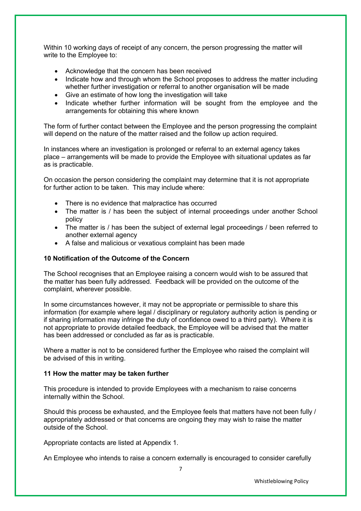Within 10 working days of receipt of any concern, the person progressing the matter will write to the Employee to:

- Acknowledge that the concern has been received
- Indicate how and through whom the School proposes to address the matter including whether further investigation or referral to another organisation will be made
- Give an estimate of how long the investigation will take
- Indicate whether further information will be sought from the employee and the arrangements for obtaining this where known

The form of further contact between the Employee and the person progressing the complaint will depend on the nature of the matter raised and the follow up action required.

In instances where an investigation is prolonged or referral to an external agency takes place – arrangements will be made to provide the Employee with situational updates as far as is practicable.

On occasion the person considering the complaint may determine that it is not appropriate for further action to be taken. This may include where:

- There is no evidence that malpractice has occurred
- The matter is / has been the subject of internal proceedings under another School policy
- The matter is / has been the subject of external legal proceedings / been referred to another external agency
- A false and malicious or vexatious complaint has been made

#### **10 Notification of the Outcome of the Concern**

The School recognises that an Employee raising a concern would wish to be assured that the matter has been fully addressed. Feedback will be provided on the outcome of the complaint, wherever possible.

In some circumstances however, it may not be appropriate or permissible to share this information (for example where legal / disciplinary or regulatory authority action is pending or if sharing information may infringe the duty of confidence owed to a third party). Where it is not appropriate to provide detailed feedback, the Employee will be advised that the matter has been addressed or concluded as far as is practicable.

Where a matter is not to be considered further the Employee who raised the complaint will be advised of this in writing.

#### **11 How the matter may be taken further**

This procedure is intended to provide Employees with a mechanism to raise concerns internally within the School.

Should this process be exhausted, and the Employee feels that matters have not been fully / appropriately addressed or that concerns are ongoing they may wish to raise the matter outside of the School.

Appropriate contacts are listed at Appendix 1.

An Employee who intends to raise a concern externally is encouraged to consider carefully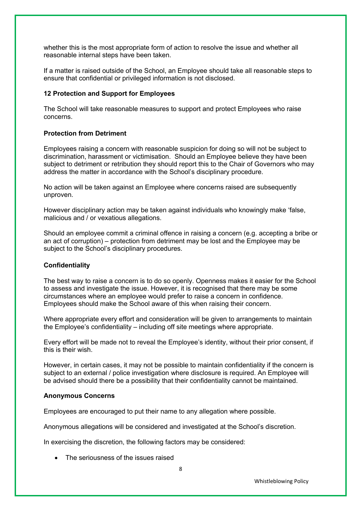whether this is the most appropriate form of action to resolve the issue and whether all reasonable internal steps have been taken.

If a matter is raised outside of the School, an Employee should take all reasonable steps to ensure that confidential or privileged information is not disclosed.

#### **12 Protection and Support for Employees**

The School will take reasonable measures to support and protect Employees who raise concerns.

#### **Protection from Detriment**

Employees raising a concern with reasonable suspicion for doing so will not be subject to discrimination, harassment or victimisation. Should an Employee believe they have been subject to detriment or retribution they should report this to the Chair of Governors who may address the matter in accordance with the School's disciplinary procedure.

No action will be taken against an Employee where concerns raised are subsequently unproven.

However disciplinary action may be taken against individuals who knowingly make 'false, malicious and / or vexatious allegations.

Should an employee commit a criminal offence in raising a concern (e.g. accepting a bribe or an act of corruption) – protection from detriment may be lost and the Employee may be subject to the School's disciplinary procedures.

#### **Confidentiality**

The best way to raise a concern is to do so openly. Openness makes it easier for the School to assess and investigate the issue. However, it is recognised that there may be some circumstances where an employee would prefer to raise a concern in confidence. Employees should make the School aware of this when raising their concern.

Where appropriate every effort and consideration will be given to arrangements to maintain the Employee's confidentiality – including off site meetings where appropriate.

Every effort will be made not to reveal the Employee's identity, without their prior consent, if this is their wish.

However, in certain cases, it may not be possible to maintain confidentiality if the concern is subject to an external / police investigation where disclosure is required. An Employee will be advised should there be a possibility that their confidentiality cannot be maintained.

#### **Anonymous Concerns**

Employees are encouraged to put their name to any allegation where possible.

Anonymous allegations will be considered and investigated at the School's discretion.

In exercising the discretion, the following factors may be considered:

• The seriousness of the issues raised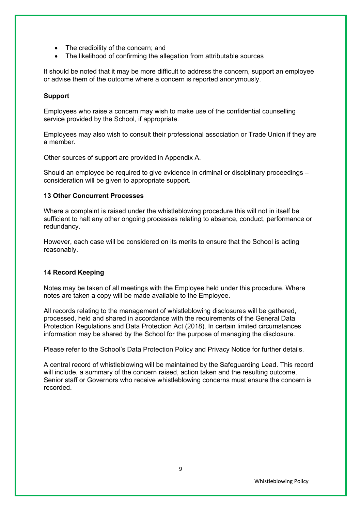- The credibility of the concern; and
- The likelihood of confirming the allegation from attributable sources

It should be noted that it may be more difficult to address the concern, support an employee or advise them of the outcome where a concern is reported anonymously.

### **Support**

Employees who raise a concern may wish to make use of the confidential counselling service provided by the School, if appropriate.

Employees may also wish to consult their professional association or Trade Union if they are a member.

Other sources of support are provided in Appendix A.

Should an employee be required to give evidence in criminal or disciplinary proceedings – consideration will be given to appropriate support.

#### **13 Other Concurrent Processes**

Where a complaint is raised under the whistleblowing procedure this will not in itself be sufficient to halt any other ongoing processes relating to absence, conduct, performance or redundancy.

However, each case will be considered on its merits to ensure that the School is acting reasonably.

#### **14 Record Keeping**

Notes may be taken of all meetings with the Employee held under this procedure. Where notes are taken a copy will be made available to the Employee.

All records relating to the management of whistleblowing disclosures will be gathered, processed, held and shared in accordance with the requirements of the General Data Protection Regulations and Data Protection Act (2018). In certain limited circumstances information may be shared by the School for the purpose of managing the disclosure.

Please refer to the School's Data Protection Policy and Privacy Notice for further details.

A central record of whistleblowing will be maintained by the Safeguarding Lead. This record will include, a summary of the concern raised, action taken and the resulting outcome. Senior staff or Governors who receive whistleblowing concerns must ensure the concern is recorded.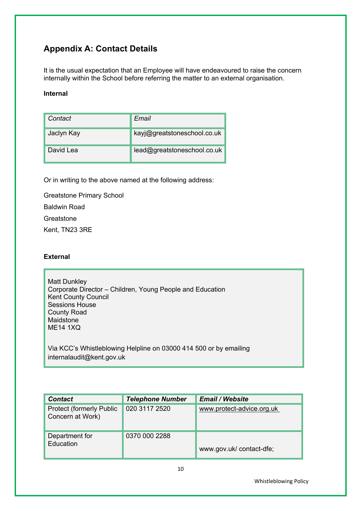## **Appendix A: Contact Details**

It is the usual expectation that an Employee will have endeavoured to raise the concern internally within the School before referring the matter to an external organisation.

#### **Internal**

| Contact    | Email                       |
|------------|-----------------------------|
| Jaclyn Kay | kayj@greatstoneschool.co.uk |
| David Lea  | lead@greatstoneschool.co.uk |

Or in writing to the above named at the following address:

Greatstone Primary School Baldwin Road Greatstone Kent, TN23 3RE

## **External**

Matt Dunkley Corporate Director – Children, Young People and Education Kent County Council Sessions House County Road Maidstone ME14 1XQ

Via KCC's Whistleblowing Helpline on 03000 414 500 or by emailing internalaudit@kent.gov.uk

| <b>Contact</b>                                       | <b>Telephone Number</b> | <b>Email / Website</b>    |
|------------------------------------------------------|-------------------------|---------------------------|
| <b>Protect (formerly Public)</b><br>Concern at Work) | 020 3117 2520           | www.protect-advice.org.uk |
| Department for<br>Education                          | 0370 000 2288           | www.gov.uk/contact-dfe;   |

Whistleblowing Policy